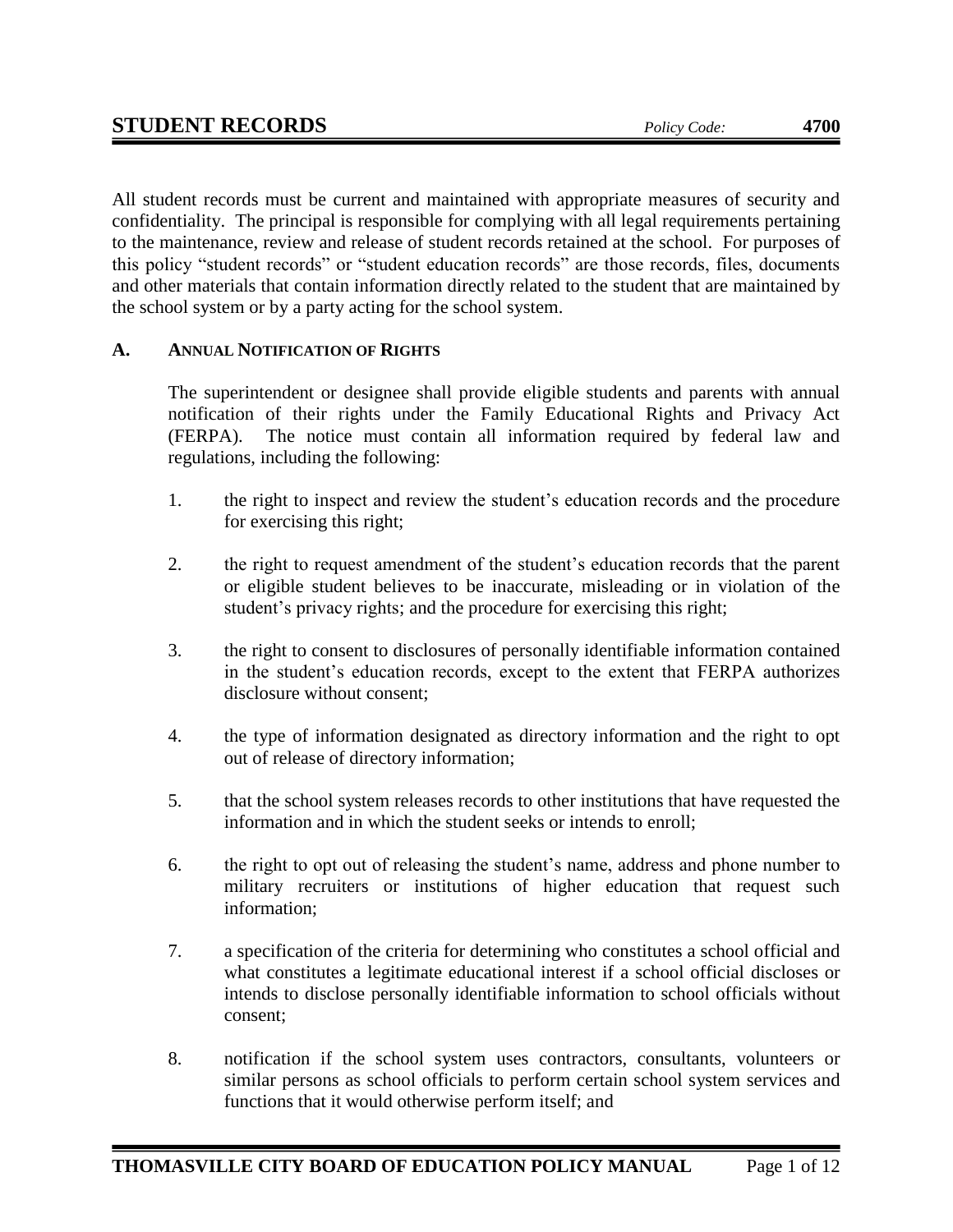All student records must be current and maintained with appropriate measures of security and confidentiality. The principal is responsible for complying with all legal requirements pertaining to the maintenance, review and release of student records retained at the school. For purposes of this policy "student records" or "student education records" are those records, files, documents and other materials that contain information directly related to the student that are maintained by the school system or by a party acting for the school system.

# **A. ANNUAL NOTIFICATION OF RIGHTS**

The superintendent or designee shall provide eligible students and parents with annual notification of their rights under the Family Educational Rights and Privacy Act (FERPA). The notice must contain all information required by federal law and regulations, including the following:

- 1. the right to inspect and review the student's education records and the procedure for exercising this right;
- 2. the right to request amendment of the student's education records that the parent or eligible student believes to be inaccurate, misleading or in violation of the student's privacy rights; and the procedure for exercising this right;
- 3. the right to consent to disclosures of personally identifiable information contained in the student's education records, except to the extent that FERPA authorizes disclosure without consent;
- 4. the type of information designated as directory information and the right to opt out of release of directory information;
- 5. that the school system releases records to other institutions that have requested the information and in which the student seeks or intends to enroll;
- 6. the right to opt out of releasing the student's name, address and phone number to military recruiters or institutions of higher education that request such information;
- 7. a specification of the criteria for determining who constitutes a school official and what constitutes a legitimate educational interest if a school official discloses or intends to disclose personally identifiable information to school officials without consent;
- 8. notification if the school system uses contractors, consultants, volunteers or similar persons as school officials to perform certain school system services and functions that it would otherwise perform itself; and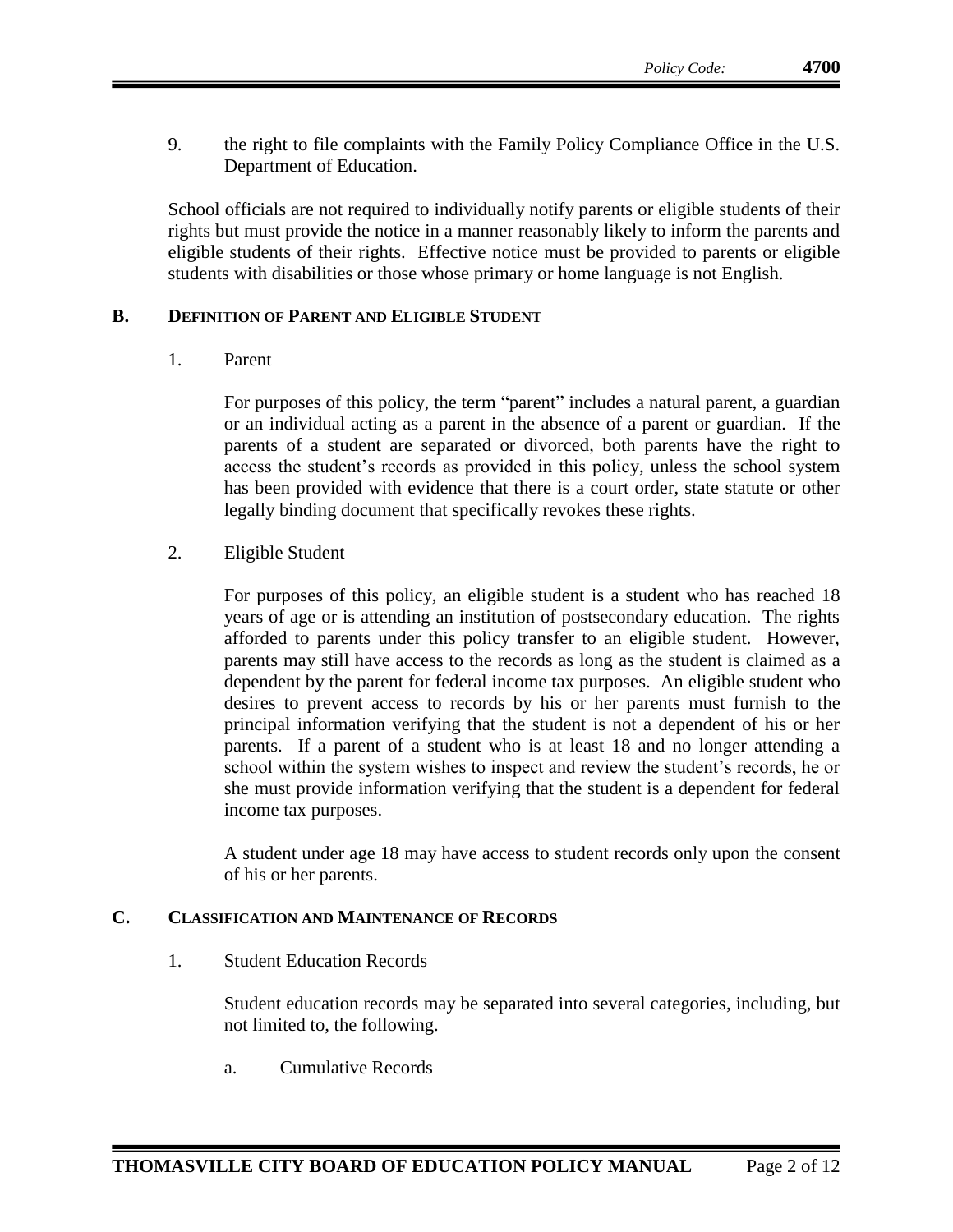9. the right to file complaints with the Family Policy Compliance Office in the U.S. Department of Education.

School officials are not required to individually notify parents or eligible students of their rights but must provide the notice in a manner reasonably likely to inform the parents and eligible students of their rights. Effective notice must be provided to parents or eligible students with disabilities or those whose primary or home language is not English.

#### **B. DEFINITION OF PARENT AND ELIGIBLE STUDENT**

1. Parent

For purposes of this policy, the term "parent" includes a natural parent, a guardian or an individual acting as a parent in the absence of a parent or guardian. If the parents of a student are separated or divorced, both parents have the right to access the student's records as provided in this policy, unless the school system has been provided with evidence that there is a court order, state statute or other legally binding document that specifically revokes these rights.

2. Eligible Student

For purposes of this policy, an eligible student is a student who has reached 18 years of age or is attending an institution of postsecondary education. The rights afforded to parents under this policy transfer to an eligible student. However, parents may still have access to the records as long as the student is claimed as a dependent by the parent for federal income tax purposes. An eligible student who desires to prevent access to records by his or her parents must furnish to the principal information verifying that the student is not a dependent of his or her parents. If a parent of a student who is at least 18 and no longer attending a school within the system wishes to inspect and review the student's records, he or she must provide information verifying that the student is a dependent for federal income tax purposes.

A student under age 18 may have access to student records only upon the consent of his or her parents.

# **C. CLASSIFICATION AND MAINTENANCE OF RECORDS**

1. Student Education Records

Student education records may be separated into several categories, including, but not limited to, the following.

a. Cumulative Records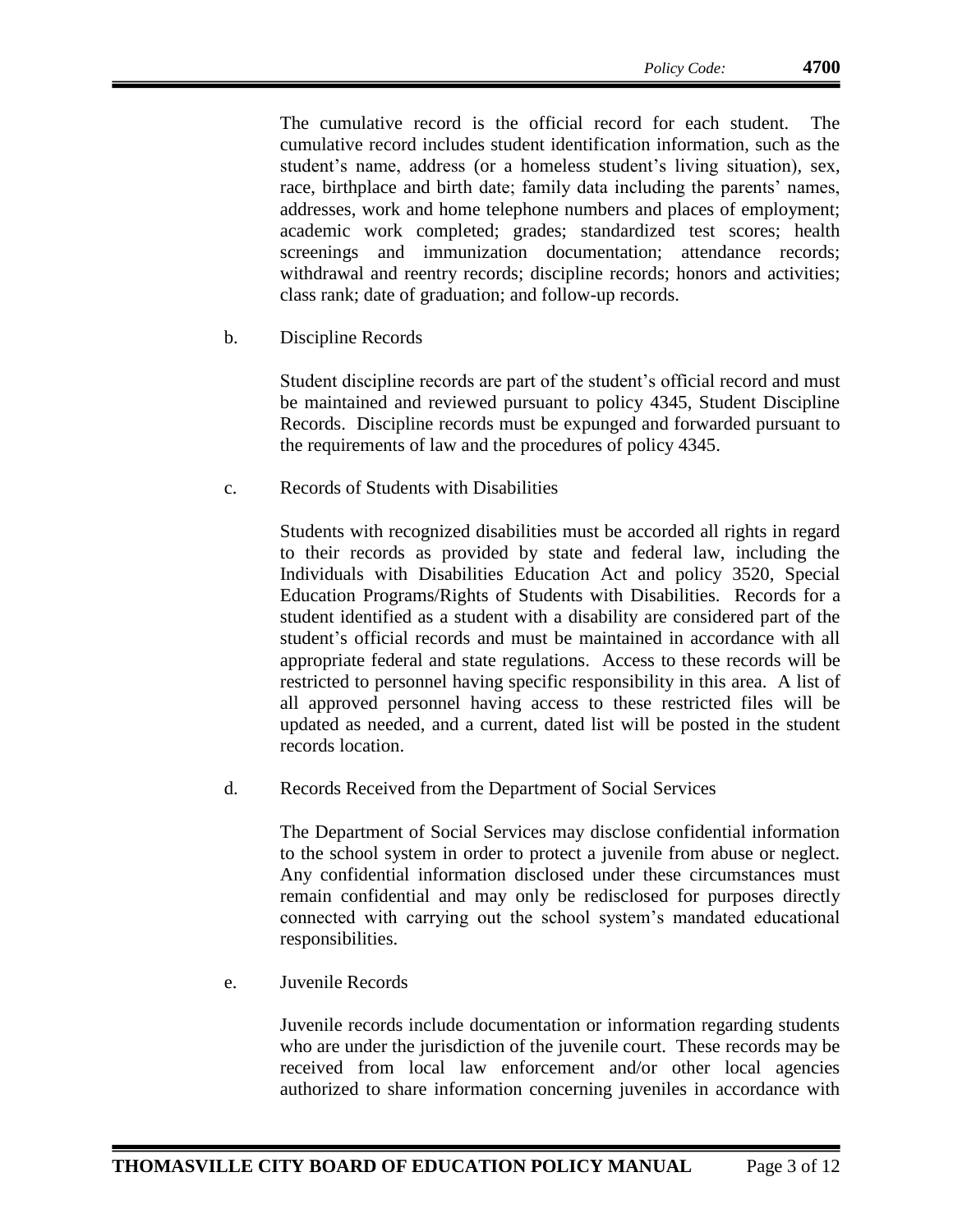The cumulative record is the official record for each student. The cumulative record includes student identification information, such as the student's name, address (or a homeless student's living situation), sex, race, birthplace and birth date; family data including the parents' names, addresses, work and home telephone numbers and places of employment; academic work completed; grades; standardized test scores; health screenings and immunization documentation; attendance records; withdrawal and reentry records; discipline records; honors and activities; class rank; date of graduation; and follow-up records.

b. Discipline Records

Student discipline records are part of the student's official record and must be maintained and reviewed pursuant to policy 4345, Student Discipline Records. Discipline records must be expunged and forwarded pursuant to the requirements of law and the procedures of policy 4345.

c. Records of Students with Disabilities

Students with recognized disabilities must be accorded all rights in regard to their records as provided by state and federal law, including the Individuals with Disabilities Education Act and policy 3520, Special Education Programs/Rights of Students with Disabilities. Records for a student identified as a student with a disability are considered part of the student's official records and must be maintained in accordance with all appropriate federal and state regulations. Access to these records will be restricted to personnel having specific responsibility in this area. A list of all approved personnel having access to these restricted files will be updated as needed, and a current, dated list will be posted in the student records location.

d. Records Received from the Department of Social Services

The Department of Social Services may disclose confidential information to the school system in order to protect a juvenile from abuse or neglect. Any confidential information disclosed under these circumstances must remain confidential and may only be redisclosed for purposes directly connected with carrying out the school system's mandated educational responsibilities.

e. Juvenile Records

Juvenile records include documentation or information regarding students who are under the jurisdiction of the juvenile court. These records may be received from local law enforcement and/or other local agencies authorized to share information concerning juveniles in accordance with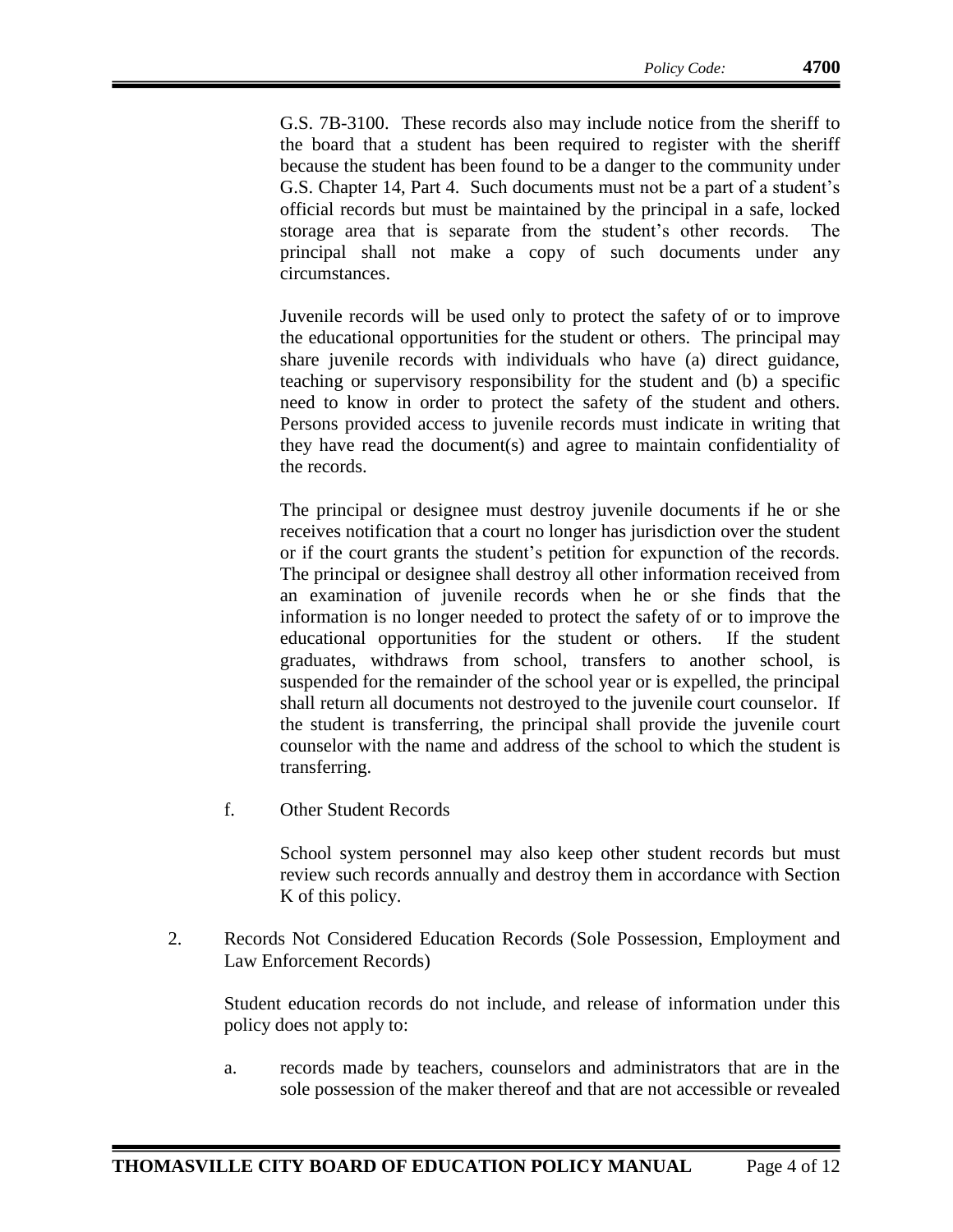G.S. 7B-3100. These records also may include notice from the sheriff to the board that a student has been required to register with the sheriff because the student has been found to be a danger to the community under G.S. Chapter 14, Part 4. Such documents must not be a part of a student's official records but must be maintained by the principal in a safe, locked storage area that is separate from the student's other records. The principal shall not make a copy of such documents under any circumstances.

Juvenile records will be used only to protect the safety of or to improve the educational opportunities for the student or others. The principal may share juvenile records with individuals who have (a) direct guidance, teaching or supervisory responsibility for the student and (b) a specific need to know in order to protect the safety of the student and others. Persons provided access to juvenile records must indicate in writing that they have read the document(s) and agree to maintain confidentiality of the records.

The principal or designee must destroy juvenile documents if he or she receives notification that a court no longer has jurisdiction over the student or if the court grants the student's petition for expunction of the records. The principal or designee shall destroy all other information received from an examination of juvenile records when he or she finds that the information is no longer needed to protect the safety of or to improve the educational opportunities for the student or others. If the student graduates, withdraws from school, transfers to another school, is suspended for the remainder of the school year or is expelled, the principal shall return all documents not destroyed to the juvenile court counselor. If the student is transferring, the principal shall provide the juvenile court counselor with the name and address of the school to which the student is transferring.

f. Other Student Records

School system personnel may also keep other student records but must review such records annually and destroy them in accordance with Section K of this policy.

2. Records Not Considered Education Records (Sole Possession, Employment and Law Enforcement Records)

Student education records do not include, and release of information under this policy does not apply to:

a. records made by teachers, counselors and administrators that are in the sole possession of the maker thereof and that are not accessible or revealed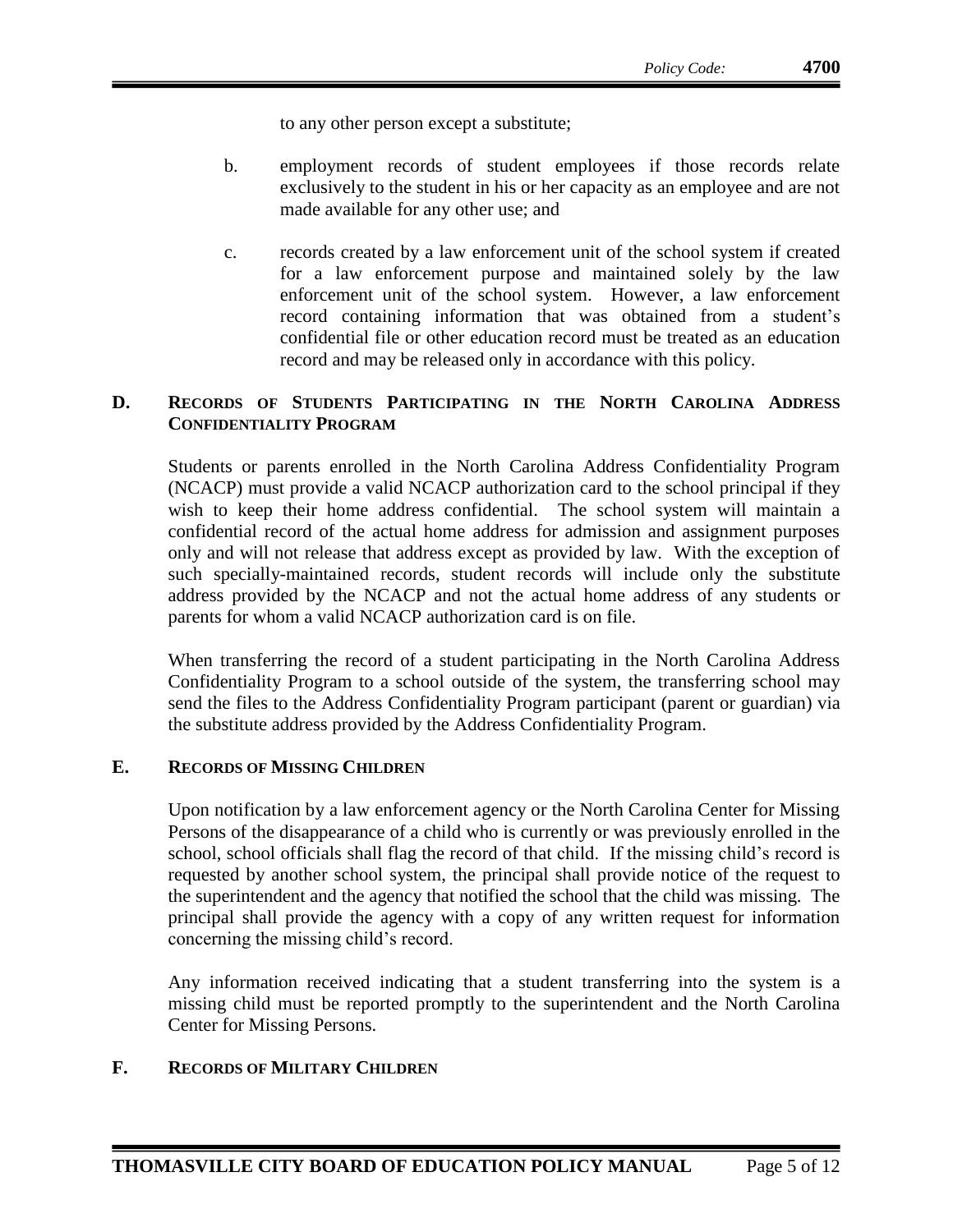to any other person except a substitute;

- b. employment records of student employees if those records relate exclusively to the student in his or her capacity as an employee and are not made available for any other use; and
- c. records created by a law enforcement unit of the school system if created for a law enforcement purpose and maintained solely by the law enforcement unit of the school system. However, a law enforcement record containing information that was obtained from a student's confidential file or other education record must be treated as an education record and may be released only in accordance with this policy.

# **D. RECORDS OF STUDENTS PARTICIPATING IN THE NORTH CAROLINA ADDRESS CONFIDENTIALITY PROGRAM**

Students or parents enrolled in the North Carolina Address Confidentiality Program (NCACP) must provide a valid NCACP authorization card to the school principal if they wish to keep their home address confidential. The school system will maintain a confidential record of the actual home address for admission and assignment purposes only and will not release that address except as provided by law. With the exception of such specially-maintained records, student records will include only the substitute address provided by the NCACP and not the actual home address of any students or parents for whom a valid NCACP authorization card is on file.

When transferring the record of a student participating in the North Carolina Address Confidentiality Program to a school outside of the system, the transferring school may send the files to the Address Confidentiality Program participant (parent or guardian) via the substitute address provided by the Address Confidentiality Program.

#### **E. RECORDS OF MISSING CHILDREN**

Upon notification by a law enforcement agency or the North Carolina Center for Missing Persons of the disappearance of a child who is currently or was previously enrolled in the school, school officials shall flag the record of that child. If the missing child's record is requested by another school system, the principal shall provide notice of the request to the superintendent and the agency that notified the school that the child was missing. The principal shall provide the agency with a copy of any written request for information concerning the missing child's record.

Any information received indicating that a student transferring into the system is a missing child must be reported promptly to the superintendent and the North Carolina Center for Missing Persons.

#### **F. RECORDS OF MILITARY CHILDREN**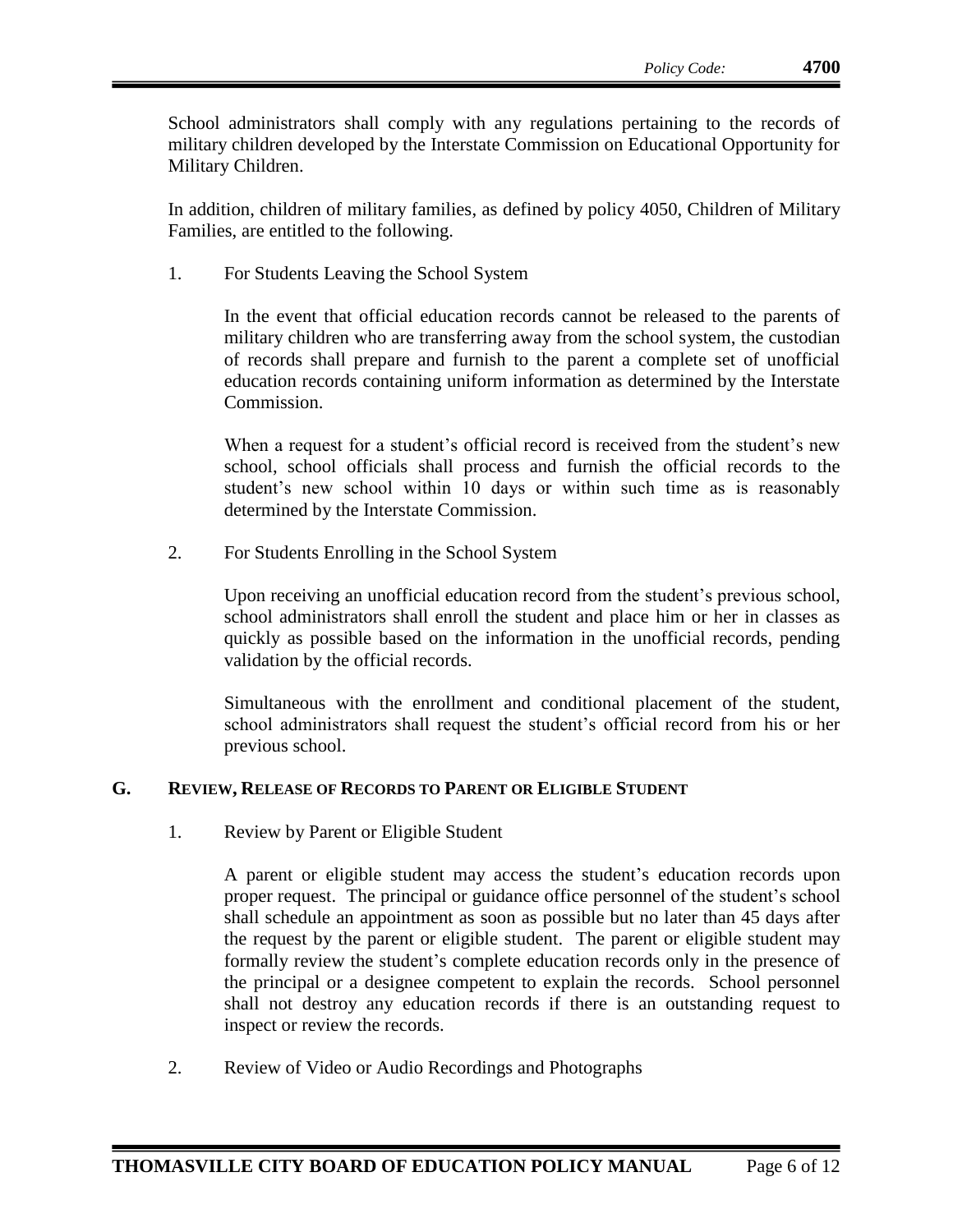School administrators shall comply with any regulations pertaining to the records of military children developed by the Interstate Commission on Educational Opportunity for Military Children.

In addition, children of military families, as defined by policy 4050, Children of Military Families, are entitled to the following.

1. For Students Leaving the School System

In the event that official education records cannot be released to the parents of military children who are transferring away from the school system, the custodian of records shall prepare and furnish to the parent a complete set of unofficial education records containing uniform information as determined by the Interstate Commission.

When a request for a student's official record is received from the student's new school, school officials shall process and furnish the official records to the student's new school within 10 days or within such time as is reasonably determined by the Interstate Commission.

2. For Students Enrolling in the School System

Upon receiving an unofficial education record from the student's previous school, school administrators shall enroll the student and place him or her in classes as quickly as possible based on the information in the unofficial records, pending validation by the official records.

Simultaneous with the enrollment and conditional placement of the student, school administrators shall request the student's official record from his or her previous school.

## **G. REVIEW, RELEASE OF RECORDS TO PARENT OR ELIGIBLE STUDENT**

1. Review by Parent or Eligible Student

A parent or eligible student may access the student's education records upon proper request. The principal or guidance office personnel of the student's school shall schedule an appointment as soon as possible but no later than 45 days after the request by the parent or eligible student. The parent or eligible student may formally review the student's complete education records only in the presence of the principal or a designee competent to explain the records. School personnel shall not destroy any education records if there is an outstanding request to inspect or review the records.

2. Review of Video or Audio Recordings and Photographs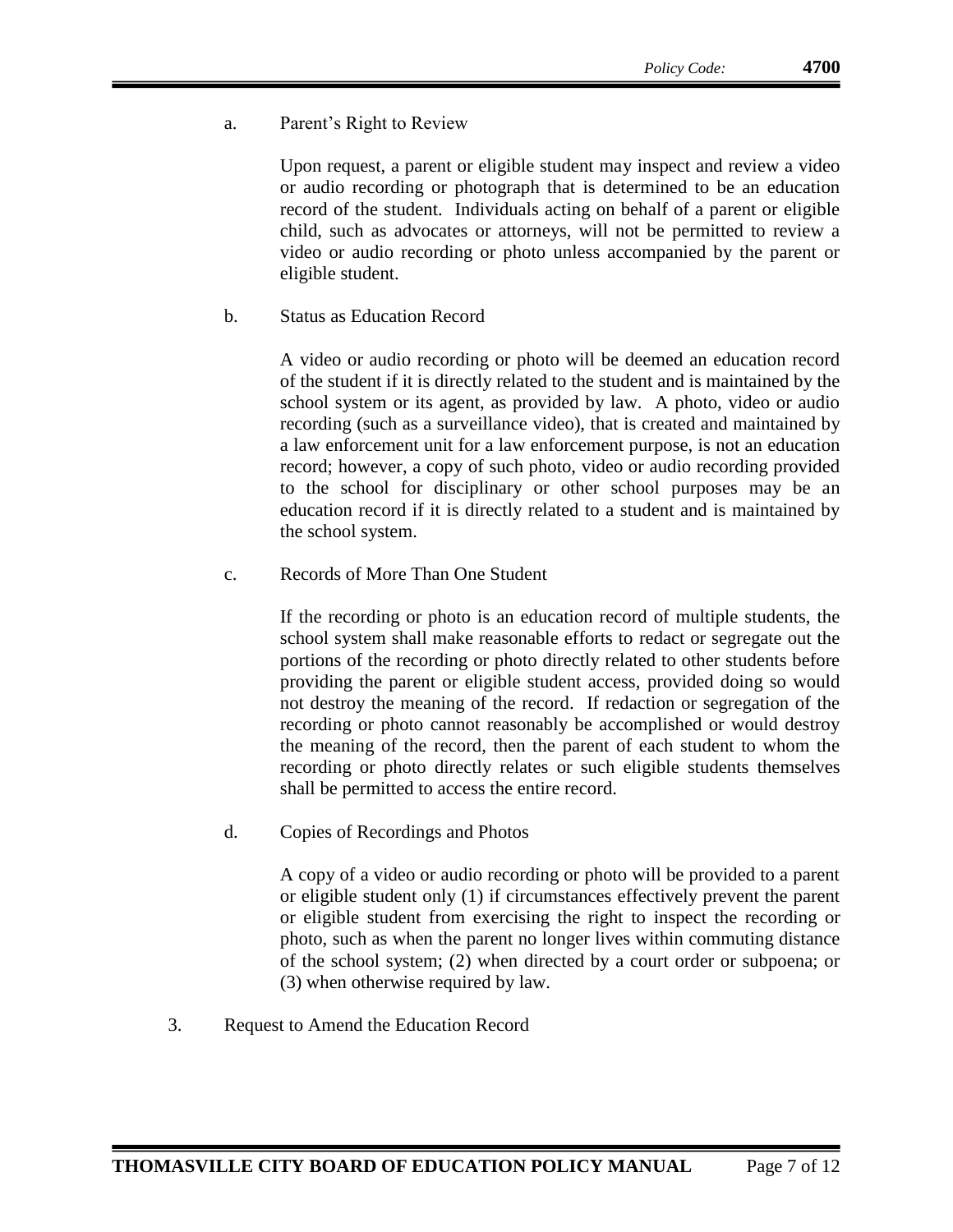a. Parent's Right to Review

Upon request, a parent or eligible student may inspect and review a video or audio recording or photograph that is determined to be an education record of the student. Individuals acting on behalf of a parent or eligible child, such as advocates or attorneys, will not be permitted to review a video or audio recording or photo unless accompanied by the parent or eligible student.

b. Status as Education Record

A video or audio recording or photo will be deemed an education record of the student if it is directly related to the student and is maintained by the school system or its agent, as provided by law. A photo, video or audio recording (such as a surveillance video), that is created and maintained by a law enforcement unit for a law enforcement purpose, is not an education record; however, a copy of such photo, video or audio recording provided to the school for disciplinary or other school purposes may be an education record if it is directly related to a student and is maintained by the school system.

c. Records of More Than One Student

If the recording or photo is an education record of multiple students, the school system shall make reasonable efforts to redact or segregate out the portions of the recording or photo directly related to other students before providing the parent or eligible student access, provided doing so would not destroy the meaning of the record. If redaction or segregation of the recording or photo cannot reasonably be accomplished or would destroy the meaning of the record, then the parent of each student to whom the recording or photo directly relates or such eligible students themselves shall be permitted to access the entire record.

d. Copies of Recordings and Photos

A copy of a video or audio recording or photo will be provided to a parent or eligible student only (1) if circumstances effectively prevent the parent or eligible student from exercising the right to inspect the recording or photo, such as when the parent no longer lives within commuting distance of the school system; (2) when directed by a court order or subpoena; or (3) when otherwise required by law.

3. Request to Amend the Education Record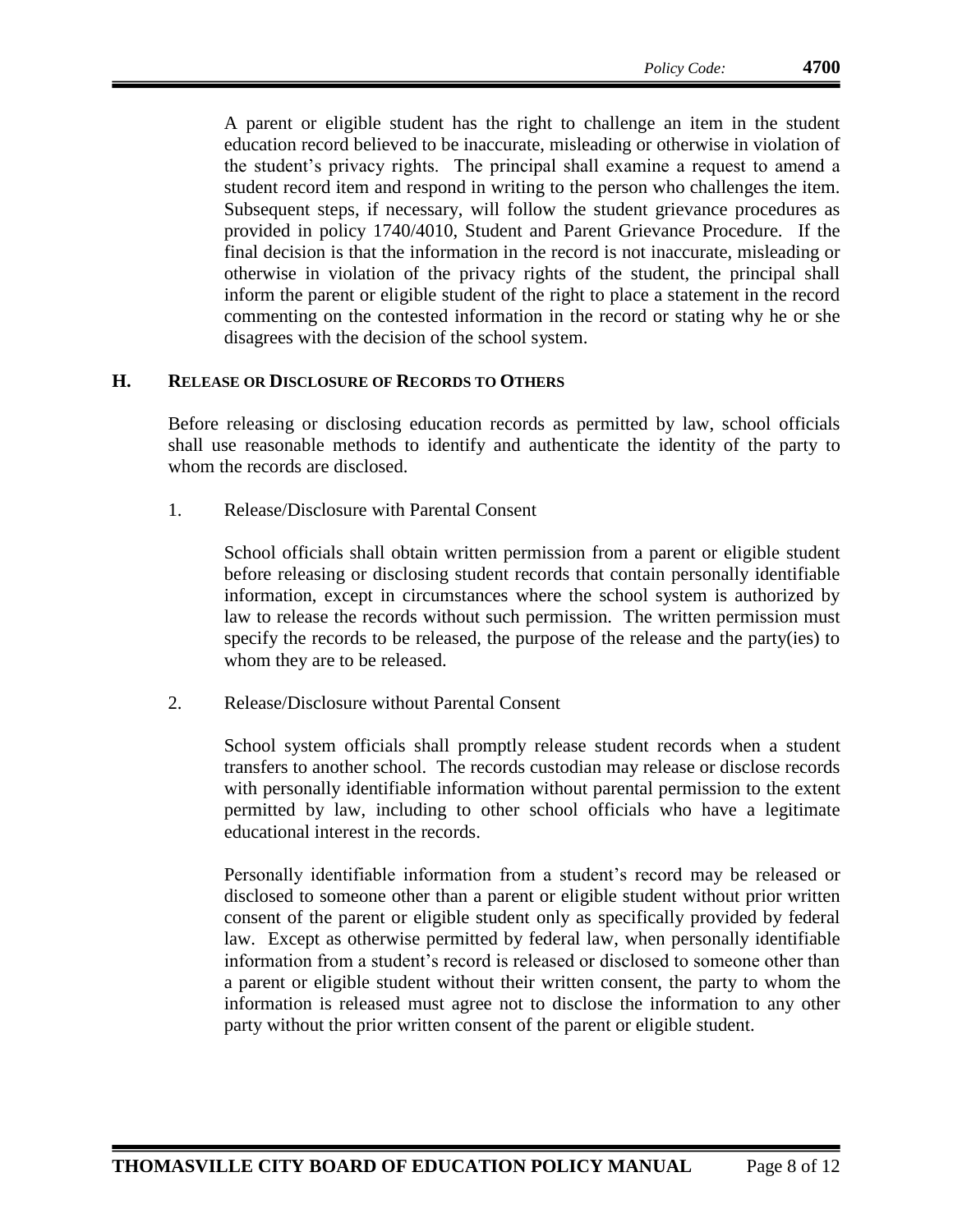A parent or eligible student has the right to challenge an item in the student education record believed to be inaccurate, misleading or otherwise in violation of the student's privacy rights. The principal shall examine a request to amend a student record item and respond in writing to the person who challenges the item. Subsequent steps, if necessary, will follow the student grievance procedures as provided in policy 1740/4010, Student and Parent Grievance Procedure. If the final decision is that the information in the record is not inaccurate, misleading or otherwise in violation of the privacy rights of the student, the principal shall inform the parent or eligible student of the right to place a statement in the record commenting on the contested information in the record or stating why he or she disagrees with the decision of the school system.

#### **H. RELEASE OR DISCLOSURE OF RECORDS TO OTHERS**

Before releasing or disclosing education records as permitted by law, school officials shall use reasonable methods to identify and authenticate the identity of the party to whom the records are disclosed.

1. Release/Disclosure with Parental Consent

School officials shall obtain written permission from a parent or eligible student before releasing or disclosing student records that contain personally identifiable information, except in circumstances where the school system is authorized by law to release the records without such permission. The written permission must specify the records to be released, the purpose of the release and the party(ies) to whom they are to be released.

2. Release/Disclosure without Parental Consent

School system officials shall promptly release student records when a student transfers to another school. The records custodian may release or disclose records with personally identifiable information without parental permission to the extent permitted by law, including to other school officials who have a legitimate educational interest in the records.

Personally identifiable information from a student's record may be released or disclosed to someone other than a parent or eligible student without prior written consent of the parent or eligible student only as specifically provided by federal law. Except as otherwise permitted by federal law, when personally identifiable information from a student's record is released or disclosed to someone other than a parent or eligible student without their written consent, the party to whom the information is released must agree not to disclose the information to any other party without the prior written consent of the parent or eligible student.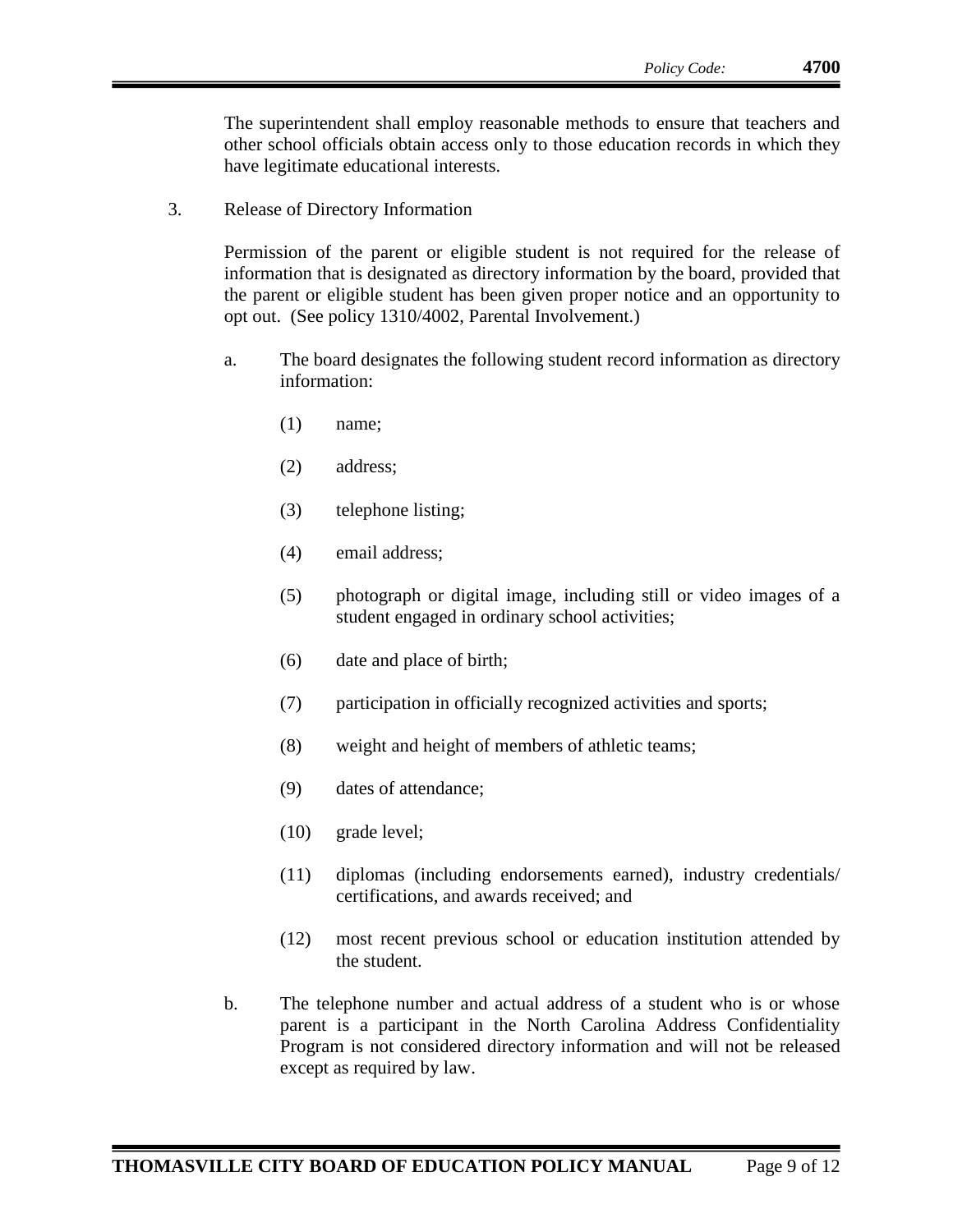The superintendent shall employ reasonable methods to ensure that teachers and other school officials obtain access only to those education records in which they have legitimate educational interests.

3. Release of Directory Information

Permission of the parent or eligible student is not required for the release of information that is designated as directory information by the board, provided that the parent or eligible student has been given proper notice and an opportunity to opt out. (See policy 1310/4002, Parental Involvement.)

- a. The board designates the following student record information as directory information:
	- (1) name;
	- (2) address;
	- (3) telephone listing;
	- (4) email address;
	- (5) photograph or digital image, including still or video images of a student engaged in ordinary school activities;
	- (6) date and place of birth;
	- (7) participation in officially recognized activities and sports;
	- (8) weight and height of members of athletic teams;
	- (9) dates of attendance;
	- (10) grade level;
	- (11) diplomas (including endorsements earned), industry credentials/ certifications, and awards received; and
	- (12) most recent previous school or education institution attended by the student.
- b. The telephone number and actual address of a student who is or whose parent is a participant in the North Carolina Address Confidentiality Program is not considered directory information and will not be released except as required by law.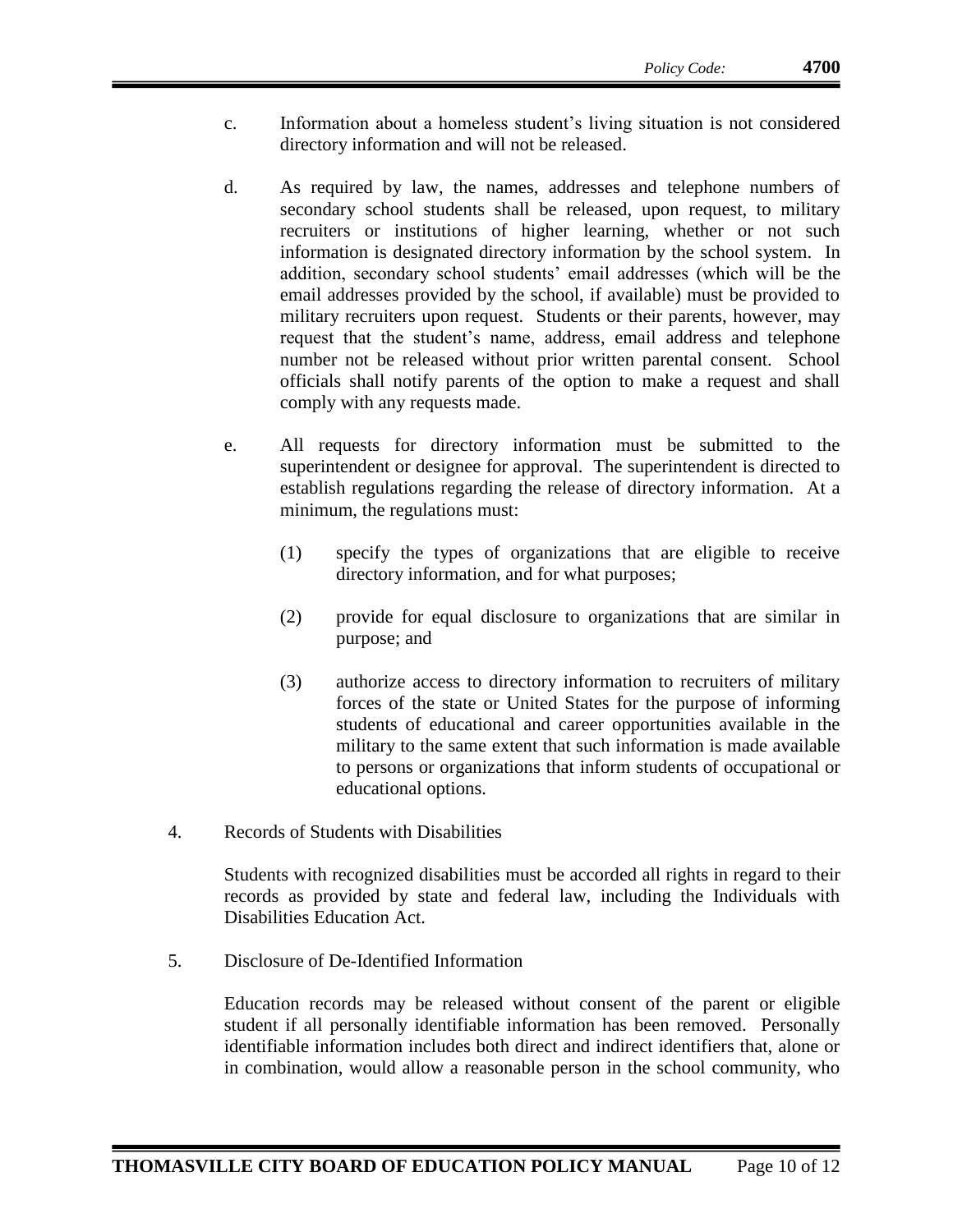- c. Information about a homeless student's living situation is not considered directory information and will not be released.
- d. As required by law, the names, addresses and telephone numbers of secondary school students shall be released, upon request, to military recruiters or institutions of higher learning, whether or not such information is designated directory information by the school system. In addition, secondary school students' email addresses (which will be the email addresses provided by the school, if available) must be provided to military recruiters upon request. Students or their parents, however, may request that the student's name, address, email address and telephone number not be released without prior written parental consent. School officials shall notify parents of the option to make a request and shall comply with any requests made.
- e. All requests for directory information must be submitted to the superintendent or designee for approval. The superintendent is directed to establish regulations regarding the release of directory information. At a minimum, the regulations must:
	- (1) specify the types of organizations that are eligible to receive directory information, and for what purposes;
	- (2) provide for equal disclosure to organizations that are similar in purpose; and
	- (3) authorize access to directory information to recruiters of military forces of the state or United States for the purpose of informing students of educational and career opportunities available in the military to the same extent that such information is made available to persons or organizations that inform students of occupational or educational options.
- 4. Records of Students with Disabilities

Students with recognized disabilities must be accorded all rights in regard to their records as provided by state and federal law, including the Individuals with Disabilities Education Act.

5. Disclosure of De-Identified Information

Education records may be released without consent of the parent or eligible student if all personally identifiable information has been removed. Personally identifiable information includes both direct and indirect identifiers that, alone or in combination, would allow a reasonable person in the school community, who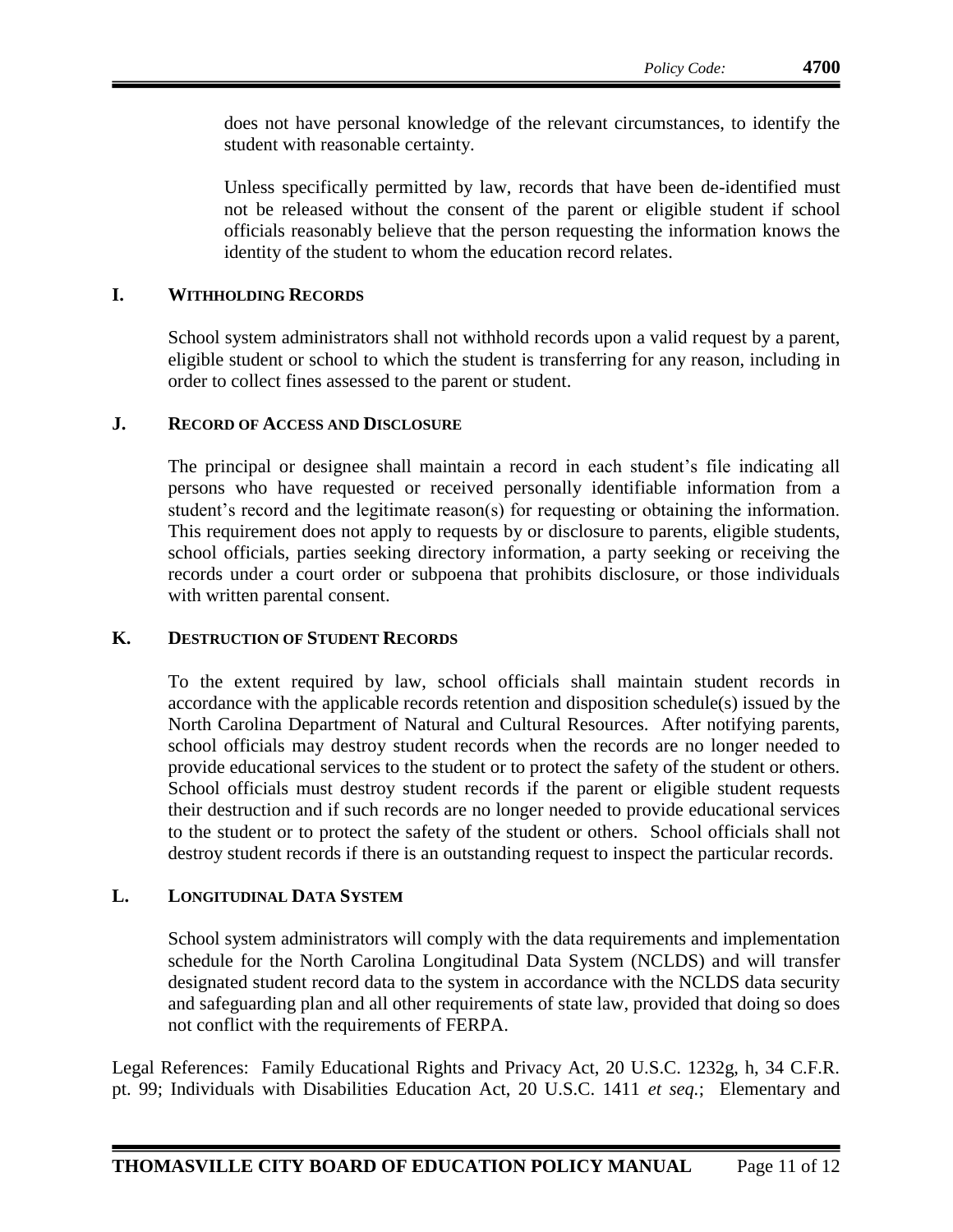does not have personal knowledge of the relevant circumstances, to identify the student with reasonable certainty.

Unless specifically permitted by law, records that have been de-identified must not be released without the consent of the parent or eligible student if school officials reasonably believe that the person requesting the information knows the identity of the student to whom the education record relates.

## **I. WITHHOLDING RECORDS**

School system administrators shall not withhold records upon a valid request by a parent, eligible student or school to which the student is transferring for any reason, including in order to collect fines assessed to the parent or student.

#### **J. RECORD OF ACCESS AND DISCLOSURE**

The principal or designee shall maintain a record in each student's file indicating all persons who have requested or received personally identifiable information from a student's record and the legitimate reason(s) for requesting or obtaining the information. This requirement does not apply to requests by or disclosure to parents, eligible students, school officials, parties seeking directory information, a party seeking or receiving the records under a court order or subpoena that prohibits disclosure, or those individuals with written parental consent.

## **K. DESTRUCTION OF STUDENT RECORDS**

To the extent required by law, school officials shall maintain student records in accordance with the applicable records retention and disposition schedule(s) issued by the North Carolina Department of Natural and Cultural Resources. After notifying parents, school officials may destroy student records when the records are no longer needed to provide educational services to the student or to protect the safety of the student or others. School officials must destroy student records if the parent or eligible student requests their destruction and if such records are no longer needed to provide educational services to the student or to protect the safety of the student or others. School officials shall not destroy student records if there is an outstanding request to inspect the particular records.

## **L. LONGITUDINAL DATA SYSTEM**

School system administrators will comply with the data requirements and implementation schedule for the North Carolina Longitudinal Data System (NCLDS) and will transfer designated student record data to the system in accordance with the NCLDS data security and safeguarding plan and all other requirements of state law, provided that doing so does not conflict with the requirements of FERPA.

Legal References: Family Educational Rights and Privacy Act, 20 U.S.C. 1232g, h, 34 C.F.R. pt. 99; Individuals with Disabilities Education Act, 20 U.S.C. 1411 *et seq.*; Elementary and